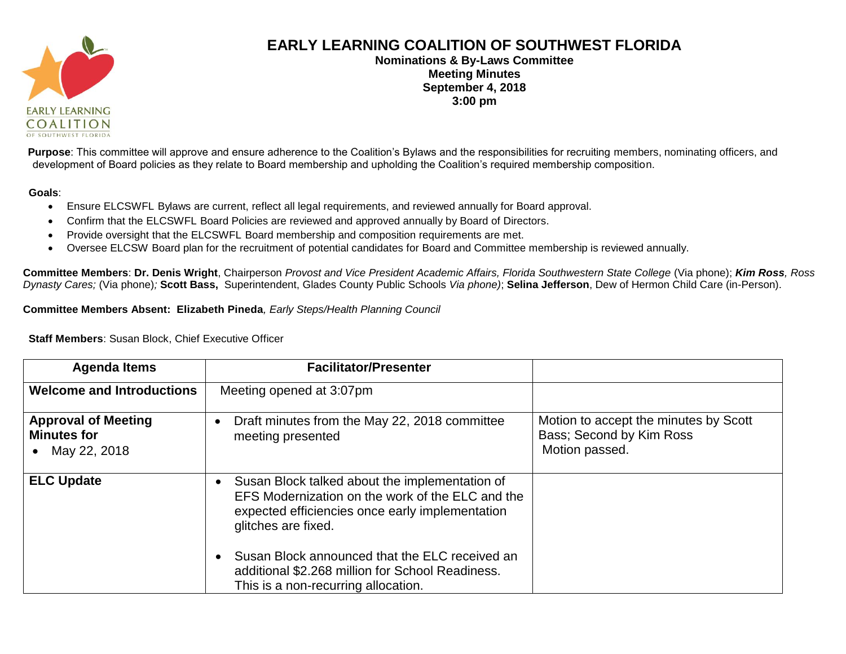

## **EARLY LEARNING COALITION OF SOUTHWEST FLORIDA**

**Nominations & By-Laws Committee Meeting Minutes September 4, 2018 3:00 pm**

Purpose: This committee will approve and ensure adherence to the Coalition's Bylaws and the responsibilities for recruiting members, nominating officers, and development of Board policies as they relate to Board membership and upholding the Coalition's required membership composition.

## **Goals**:

- Ensure ELCSWFL Bylaws are current, reflect all legal requirements, and reviewed annually for Board approval.
- Confirm that the ELCSWFL Board Policies are reviewed and approved annually by Board of Directors.
- Provide oversight that the ELCSWFL Board membership and composition requirements are met.
- Oversee ELCSW Board plan for the recruitment of potential candidates for Board and Committee membership is reviewed annually.

**Committee Members**: **Dr. Denis Wright**, Chairperson *Provost and Vice President Academic Affairs, Florida Southwestern State College* (Via phone); *Kim Ross, Ross Dynasty Cares;* (Via phone)*;* **Scott Bass,** Superintendent, Glades County Public Schools *Via phone)*; **Selina Jefferson**, Dew of Hermon Child Care (in-Person).

**Committee Members Absent: Elizabeth Pineda***, Early Steps/Health Planning Council*

**Staff Members**: Susan Block, Chief Executive Officer

| <b>Agenda Items</b>                                              | <b>Facilitator/Presenter</b>                                                                                                                                                                                                                |                                                                                     |
|------------------------------------------------------------------|---------------------------------------------------------------------------------------------------------------------------------------------------------------------------------------------------------------------------------------------|-------------------------------------------------------------------------------------|
| <b>Welcome and Introductions</b>                                 | Meeting opened at 3:07pm                                                                                                                                                                                                                    |                                                                                     |
| <b>Approval of Meeting</b><br><b>Minutes for</b><br>May 22, 2018 | Draft minutes from the May 22, 2018 committee<br>$\bullet$<br>meeting presented                                                                                                                                                             | Motion to accept the minutes by Scott<br>Bass; Second by Kim Ross<br>Motion passed. |
| <b>ELC Update</b>                                                | Susan Block talked about the implementation of<br>$\bullet$<br>EFS Modernization on the work of the ELC and the<br>expected efficiencies once early implementation<br>glitches are fixed.<br>Susan Block announced that the ELC received an |                                                                                     |
|                                                                  | additional \$2.268 million for School Readiness.<br>This is a non-recurring allocation.                                                                                                                                                     |                                                                                     |